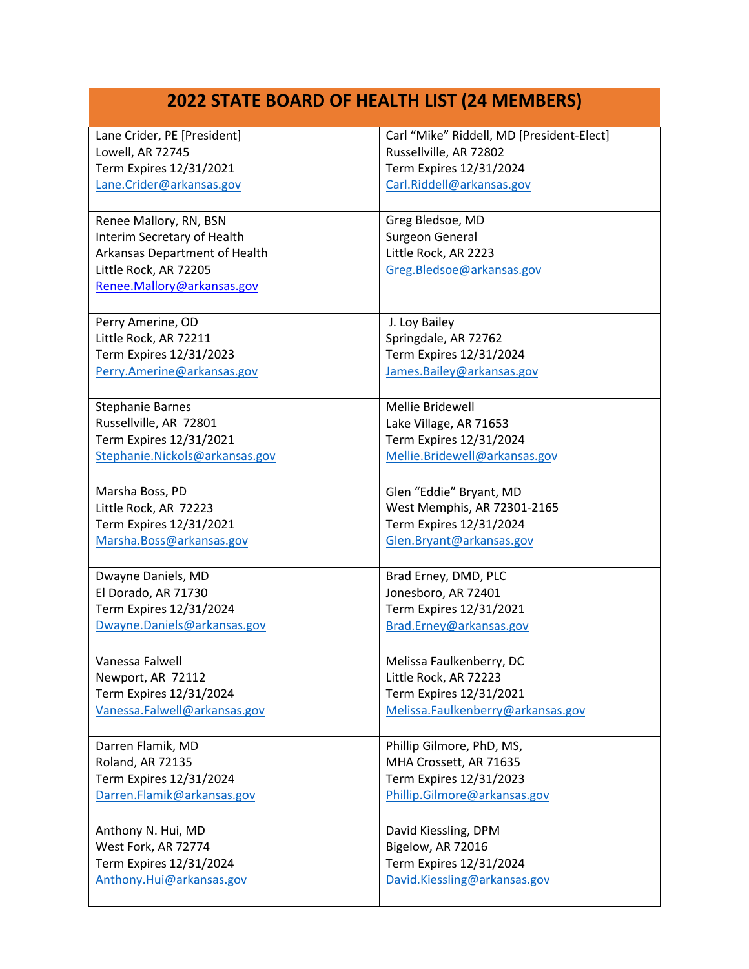## **2022 STATE BOARD OF HEALTH LIST (24 MEMBERS)**

| Lane Crider, PE [President]    | Carl "Mike" Riddell, MD [President-Elect] |
|--------------------------------|-------------------------------------------|
| Lowell, AR 72745               | Russellville, AR 72802                    |
| Term Expires 12/31/2021        | Term Expires 12/31/2024                   |
| Lane.Crider@arkansas.gov       | Carl.Riddell@arkansas.gov                 |
|                                |                                           |
| Renee Mallory, RN, BSN         | Greg Bledsoe, MD                          |
| Interim Secretary of Health    | Surgeon General                           |
| Arkansas Department of Health  | Little Rock, AR 2223                      |
| Little Rock, AR 72205          | Greg.Bledsoe@arkansas.gov                 |
| Renee.Mallory@arkansas.gov     |                                           |
|                                |                                           |
| Perry Amerine, OD              | J. Loy Bailey                             |
| Little Rock, AR 72211          | Springdale, AR 72762                      |
| Term Expires 12/31/2023        | Term Expires 12/31/2024                   |
| Perry.Amerine@arkansas.gov     | James.Bailey@arkansas.gov                 |
|                                |                                           |
| <b>Stephanie Barnes</b>        | Mellie Bridewell                          |
| Russellville, AR 72801         | Lake Village, AR 71653                    |
| Term Expires 12/31/2021        | Term Expires 12/31/2024                   |
| Stephanie.Nickols@arkansas.gov | Mellie.Bridewell@arkansas.gov             |
|                                |                                           |
| Marsha Boss, PD                | Glen "Eddie" Bryant, MD                   |
| Little Rock, AR 72223          | West Memphis, AR 72301-2165               |
| Term Expires 12/31/2021        | Term Expires 12/31/2024                   |
| Marsha.Boss@arkansas.gov       | Glen.Bryant@arkansas.gov                  |
|                                |                                           |
| Dwayne Daniels, MD             | Brad Erney, DMD, PLC                      |
| El Dorado, AR 71730            | Jonesboro, AR 72401                       |
| Term Expires 12/31/2024        | Term Expires 12/31/2021                   |
| Dwayne.Daniels@arkansas.gov    | Brad.Erney@arkansas.gov                   |
|                                |                                           |
| Vanessa Falwell                | Melissa Faulkenberry, DC                  |
| Newport, AR 72112              | Little Rock, AR 72223                     |
| Term Expires 12/31/2024        | Term Expires 12/31/2021                   |
| Vanessa.Falwell@arkansas.gov   | Melissa.Faulkenberry@arkansas.gov         |
|                                |                                           |
| Darren Flamik, MD              | Phillip Gilmore, PhD, MS,                 |
| <b>Roland, AR 72135</b>        | MHA Crossett, AR 71635                    |
| Term Expires 12/31/2024        | Term Expires 12/31/2023                   |
| Darren.Flamik@arkansas.gov     | Phillip.Gilmore@arkansas.gov              |
|                                |                                           |
| Anthony N. Hui, MD             | David Kiessling, DPM                      |
| West Fork, AR 72774            | Bigelow, AR 72016                         |
| Term Expires 12/31/2024        | Term Expires 12/31/2024                   |
| Anthony.Hui@arkansas.gov       | David.Kiessling@arkansas.gov              |
|                                |                                           |